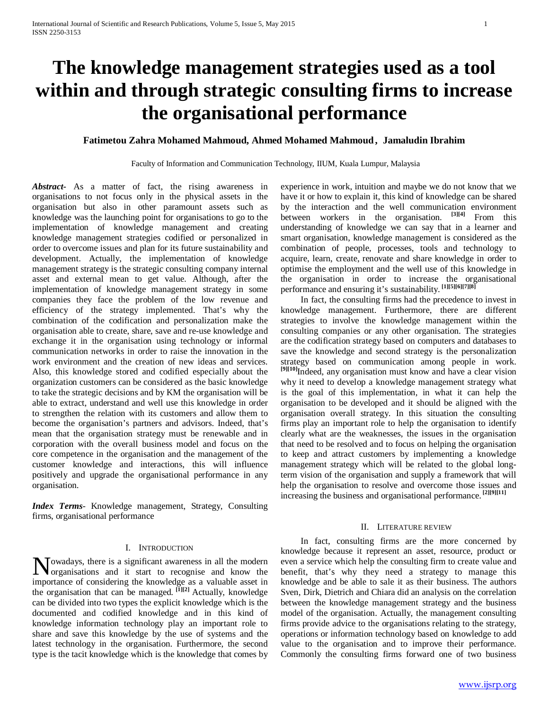# **The knowledge management strategies used as a tool within and through strategic consulting firms to increase the organisational performance**

# **Fatimetou Zahra Mohamed Mahmoud, Ahmed Mohamed Mahmoud , Jamaludin Ibrahim**

Faculty of Information and Communication Technology, IIUM, Kuala Lumpur, Malaysia

*Abstract***-** As a matter of fact, the rising awareness in organisations to not focus only in the physical assets in the organisation but also in other paramount assets such as knowledge was the launching point for organisations to go to the implementation of knowledge management and creating knowledge management strategies codified or personalized in order to overcome issues and plan for its future sustainability and development. Actually, the implementation of knowledge management strategy is the strategic consulting company internal asset and external mean to get value. Although, after the implementation of knowledge management strategy in some companies they face the problem of the low revenue and efficiency of the strategy implemented. That's why the combination of the codification and personalization make the organisation able to create, share, save and re-use knowledge and exchange it in the organisation using technology or informal communication networks in order to raise the innovation in the work environment and the creation of new ideas and services. Also, this knowledge stored and codified especially about the organization customers can be considered as the basic knowledge to take the strategic decisions and by KM the organisation will be able to extract, understand and well use this knowledge in order to strengthen the relation with its customers and allow them to become the organisation's partners and advisors. Indeed, that's mean that the organisation strategy must be renewable and in corporation with the overall business model and focus on the core competence in the organisation and the management of the customer knowledge and interactions, this will influence positively and upgrade the organisational performance in any organisation.

*Index Terms*- Knowledge management, Strategy, Consulting firms, organisational performance

### I. INTRODUCTION

owadays, there is a significant awareness in all the modern Nowadays, there is a significant awareness in all the modern<br>organisations and it start to recognise and know the importance of considering the knowledge as a valuable asset in the organisation that can be managed. **[1][2]** Actually, knowledge can be divided into two types the explicit knowledge which is the documented and codified knowledge and in this kind of knowledge information technology play an important role to share and save this knowledge by the use of systems and the latest technology in the organisation. Furthermore, the second type is the tacit knowledge which is the knowledge that comes by

experience in work, intuition and maybe we do not know that we have it or how to explain it, this kind of knowledge can be shared by the interaction and the well communication environment between workers in the organisation. **[3][4]** From this understanding of knowledge we can say that in a learner and smart organisation, knowledge management is considered as the combination of people, processes, tools and technology to acquire, learn, create, renovate and share knowledge in order to optimise the employment and the well use of this knowledge in the organisation in order to increase the organisational performance and ensuring it's sustainability. **[1][5][6][7][8]** 

 In fact, the consulting firms had the precedence to invest in knowledge management. Furthermore, there are different strategies to involve the knowledge management within the consulting companies or any other organisation. The strategies are the codification strategy based on computers and databases to save the knowledge and second strategy is the personalization strategy based on communication among people in work. **[9][10]**Indeed, any organisation must know and have a clear vision why it need to develop a knowledge management strategy what is the goal of this implementation, in what it can help the organisation to be developed and it should be aligned with the organisation overall strategy. In this situation the consulting firms play an important role to help the organisation to identify clearly what are the weaknesses, the issues in the organisation that need to be resolved and to focus on helping the organisation to keep and attract customers by implementing a knowledge management strategy which will be related to the global longterm vision of the organisation and supply a framework that will help the organisation to resolve and overcome those issues and increasing the business and organisational performance. **[2][9][11]**

### II. LITERATURE REVIEW

 In fact, consulting firms are the more concerned by knowledge because it represent an asset, resource, product or even a service which help the consulting firm to create value and benefit, that's why they need a strategy to manage this knowledge and be able to sale it as their business. The authors Sven, Dirk, Dietrich and Chiara did an analysis on the correlation between the knowledge management strategy and the business model of the organisation. Actually, the management consulting firms provide advice to the organisations relating to the strategy, operations or information technology based on knowledge to add value to the organisation and to improve their performance. Commonly the consulting firms forward one of two business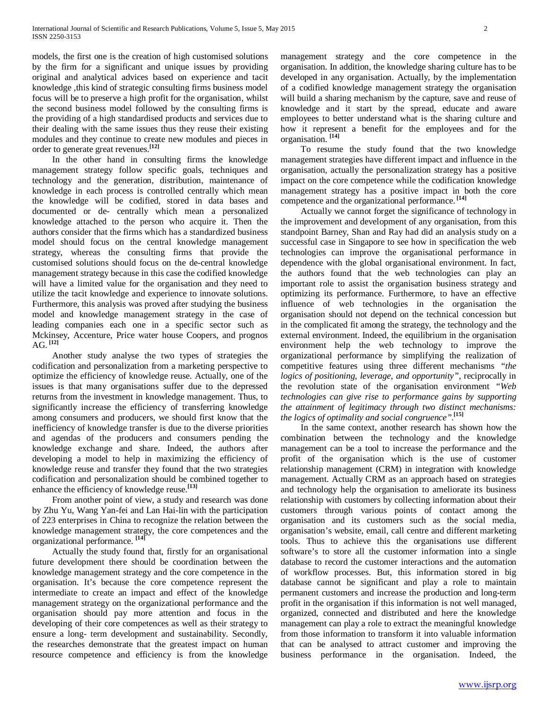models, the first one is the creation of high customised solutions by the firm for a significant and unique issues by providing original and analytical advices based on experience and tacit knowledge ,this kind of strategic consulting firms business model focus will be to preserve a high profit for the organisation, whilst the second business model followed by the consulting firms is the providing of a high standardised products and services due to their dealing with the same issues thus they reuse their existing modules and they continue to create new modules and pieces in order to generate great revenues.**[12]**

 In the other hand in consulting firms the knowledge management strategy follow specific goals, techniques and technology and the generation, distribution, maintenance of knowledge in each process is controlled centrally which mean the knowledge will be codified, stored in data bases and documented or de- centrally which mean a personalized knowledge attached to the person who acquire it. Then the authors consider that the firms which has a standardized business model should focus on the central knowledge management strategy, whereas the consulting firms that provide the customised solutions should focus on the de-central knowledge management strategy because in this case the codified knowledge will have a limited value for the organisation and they need to utilize the tacit knowledge and experience to innovate solutions. Furthermore, this analysis was proved after studying the business model and knowledge management strategy in the case of leading companies each one in a specific sector such as Mckinsey, Accenture, Price water house Coopers, and prognos AG. **[12]**

 Another study analyse the two types of strategies the codification and personalization from a marketing perspective to optimize the efficiency of knowledge reuse. Actually, one of the issues is that many organisations suffer due to the depressed returns from the investment in knowledge management. Thus, to significantly increase the efficiency of transferring knowledge among consumers and producers, we should first know that the inefficiency of knowledge transfer is due to the diverse priorities and agendas of the producers and consumers pending the knowledge exchange and share. Indeed, the authors after developing a model to help in maximizing the efficiency of knowledge reuse and transfer they found that the two strategies codification and personalization should be combined together to enhance the efficiency of knowledge reuse.**[13]**

 From another point of view, a study and research was done by Zhu Yu, Wang Yan-fei and Lan Hai-lin with the participation of 223 enterprises in China to recognize the relation between the knowledge management strategy, the core competences and the organizational performance. **[14]**

 Actually the study found that, firstly for an organisational future development there should be coordination between the knowledge management strategy and the core competence in the organisation. It's because the core competence represent the intermediate to create an impact and effect of the knowledge management strategy on the organizational performance and the organisation should pay more attention and focus in the developing of their core competences as well as their strategy to ensure a long- term development and sustainability. Secondly, the researches demonstrate that the greatest impact on human resource competence and efficiency is from the knowledge management strategy and the core competence in the organisation. In addition, the knowledge sharing culture has to be developed in any organisation. Actually, by the implementation of a codified knowledge management strategy the organisation will build a sharing mechanism by the capture, save and reuse of knowledge and it start by the spread, educate and aware employees to better understand what is the sharing culture and how it represent a benefit for the employees and for the organisation. **[14]**

 To resume the study found that the two knowledge management strategies have different impact and influence in the organisation, actually the personalization strategy has a positive impact on the core competence while the codification knowledge management strategy has a positive impact in both the core competence and the organizational performance. **[14]**

 Actually we cannot forget the significance of technology in the improvement and development of any organisation, from this standpoint Barney, Shan and Ray had did an analysis study on a successful case in Singapore to see how in specification the web technologies can improve the organisational performance in dependence with the global organisational environment. In fact, the authors found that the web technologies can play an important role to assist the organisation business strategy and optimizing its performance. Furthermore, to have an effective influence of web technologies in the organisation the organisation should not depend on the technical concession but in the complicated fit among the strategy, the technology and the external environment. Indeed, the equilibrium in the organisation environment help the web technology to improve the organizational performance by simplifying the realization of competitive features using three different mechanisms *"the logics of positioning, leverage, and opportunity"*, reciprocally in the revolution state of the organisation environment *"Web technologies can give rise to performance gains by supporting the attainment of legitimacy through two distinct mechanisms: the logics of optimality and social congruence"*. **[15]**

 In the same context, another research has shown how the combination between the technology and the knowledge management can be a tool to increase the performance and the profit of the organisation which is the use of customer relationship management (CRM) in integration with knowledge management. Actually CRM as an approach based on strategies and technology help the organisation to ameliorate its business relationship with customers by collecting information about their customers through various points of contact among the organisation and its customers such as the social media, organisation's website, email, call centre and different marketing tools. Thus to achieve this the organisations use different software's to store all the customer information into a single database to record the customer interactions and the automation of workflow processes. But, this information stored in big database cannot be significant and play a role to maintain permanent customers and increase the production and long-term profit in the organisation if this information is not well managed, organized, connected and distributed and here the knowledge management can play a role to extract the meaningful knowledge from those information to transform it into valuable information that can be analysed to attract customer and improving the business performance in the organisation. Indeed, the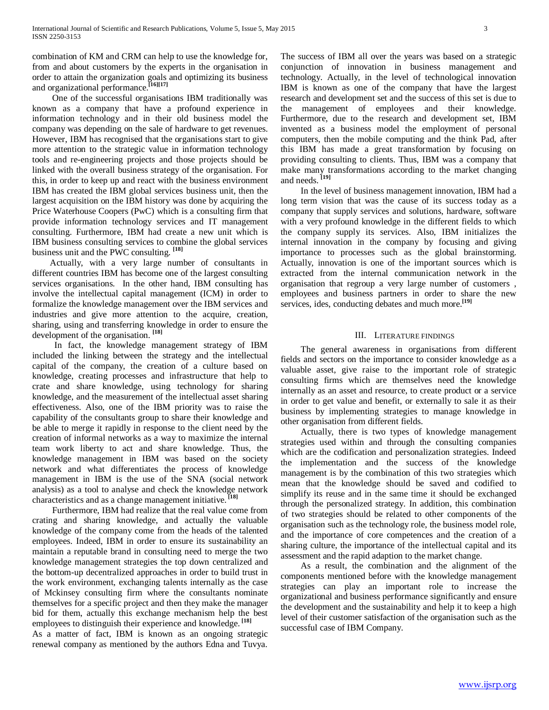combination of KM and CRM can help to use the knowledge for, from and about customers by the experts in the organisation in order to attain the organization goals and optimizing its business and organizational performance.**[16][17]**

 One of the successful organisations IBM traditionally was known as a company that have a profound experience in information technology and in their old business model the company was depending on the sale of hardware to get revenues. However, IBM has recognised that the organisations start to give more attention to the strategic value in information technology tools and re-engineering projects and those projects should be linked with the overall business strategy of the organisation. For this, in order to keep up and react with the business environment IBM has created the IBM global services business unit, then the largest acquisition on the IBM history was done by acquiring the Price Waterhouse Coopers (PwC) which is a consulting firm that provide information technology services and IT management consulting. Furthermore, IBM had create a new unit which is IBM business consulting services to combine the global services business unit and the PWC consulting. **[18]**

 Actually, with a very large number of consultants in different countries IBM has become one of the largest consulting services organisations. In the other hand, IBM consulting has involve the intellectual capital management (ICM) in order to formalize the knowledge management over the IBM services and industries and give more attention to the acquire, creation, sharing, using and transferring knowledge in order to ensure the development of the organisation. **[18]**

 In fact, the knowledge management strategy of IBM included the linking between the strategy and the intellectual capital of the company, the creation of a culture based on knowledge, creating processes and infrastructure that help to crate and share knowledge, using technology for sharing knowledge, and the measurement of the intellectual asset sharing effectiveness. Also, one of the IBM priority was to raise the capability of the consultants group to share their knowledge and be able to merge it rapidly in response to the client need by the creation of informal networks as a way to maximize the internal team work liberty to act and share knowledge. Thus, the knowledge management in IBM was based on the society network and what differentiates the process of knowledge management in IBM is the use of the SNA (social network analysis) as a tool to analyse and check the knowledge network characteristics and as a change management initiative. **[18]**

 Furthermore, IBM had realize that the real value come from crating and sharing knowledge, and actually the valuable knowledge of the company come from the heads of the talented employees. Indeed, IBM in order to ensure its sustainability an maintain a reputable brand in consulting need to merge the two knowledge management strategies the top down centralized and the bottom-up decentralized approaches in order to build trust in the work environment, exchanging talents internally as the case of Mckinsey consulting firm where the consultants nominate themselves for a specific project and then they make the manager bid for them, actually this exchange mechanism help the best employees to distinguish their experience and knowledge. **[18]**

As a matter of fact, IBM is known as an ongoing strategic renewal company as mentioned by the authors Edna and Tuvya.

The success of IBM all over the years was based on a strategic conjunction of innovation in business management and technology. Actually, in the level of technological innovation IBM is known as one of the company that have the largest research and development set and the success of this set is due to the management of employees and their knowledge. Furthermore, due to the research and development set, IBM invented as a business model the employment of personal computers, then the mobile computing and the think Pad, after this IBM has made a great transformation by focusing on providing consulting to clients. Thus, IBM was a company that make many transformations according to the market changing and needs. **[19]**

 In the level of business management innovation, IBM had a long term vision that was the cause of its success today as a company that supply services and solutions, hardware, software with a very profound knowledge in the different fields to which the company supply its services. Also, IBM initializes the internal innovation in the company by focusing and giving importance to processes such as the global brainstorming. Actually, innovation is one of the important sources which is extracted from the internal communication network in the organisation that regroup a very large number of customers , employees and business partners in order to share the new services, ides, conducting debates and much more.<sup>[19]</sup>

# III. LITERATURE FINDINGS

 The general awareness in organisations from different fields and sectors on the importance to consider knowledge as a valuable asset, give raise to the important role of strategic consulting firms which are themselves need the knowledge internally as an asset and resource, to create product or a service in order to get value and benefit, or externally to sale it as their business by implementing strategies to manage knowledge in other organisation from different fields.

 Actually, there is two types of knowledge management strategies used within and through the consulting companies which are the codification and personalization strategies. Indeed the implementation and the success of the knowledge management is by the combination of this two strategies which mean that the knowledge should be saved and codified to simplify its reuse and in the same time it should be exchanged through the personalized strategy. In addition, this combination of two strategies should be related to other components of the organisation such as the technology role, the business model role, and the importance of core competences and the creation of a sharing culture, the importance of the intellectual capital and its assessment and the rapid adaption to the market change.

 As a result, the combination and the alignment of the components mentioned before with the knowledge management strategies can play an important role to increase the organizational and business performance significantly and ensure the development and the sustainability and help it to keep a high level of their customer satisfaction of the organisation such as the successful case of IBM Company.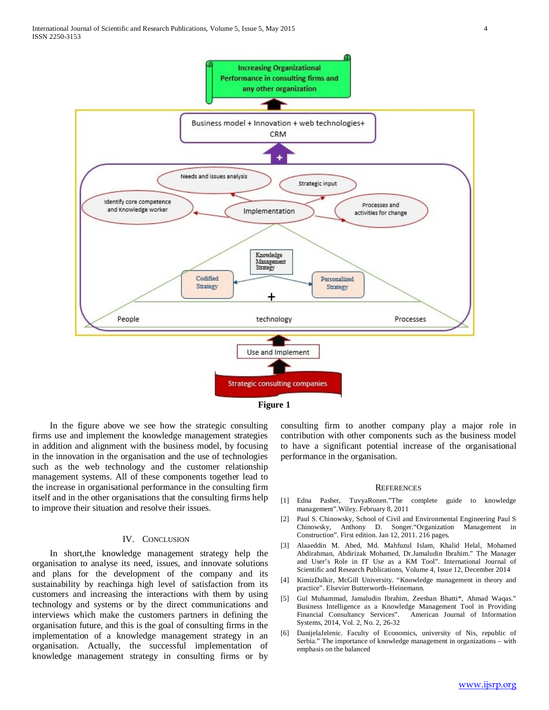

**Figure 1**

 In the figure above we see how the strategic consulting firms use and implement the knowledge management strategies in addition and alignment with the business model, by focusing in the innovation in the organisation and the use of technologies such as the web technology and the customer relationship management systems. All of these components together lead to the increase in organisational performance in the consulting firm itself and in the other organisations that the consulting firms help to improve their situation and resolve their issues.

## IV. CONCLUSION

 In short,the knowledge management strategy help the organisation to analyse its need, issues, and innovate solutions and plans for the development of the company and its sustainability by reachinga high level of satisfaction from its customers and increasing the interactions with them by using technology and systems or by the direct communications and interviews which make the customers partners in defining the organisation future, and this is the goal of consulting firms in the implementation of a knowledge management strategy in an organisation. Actually, the successful implementation of knowledge management strategy in consulting firms or by consulting firm to another company play a major role in contribution with other components such as the business model to have a significant potential increase of the organisational performance in the organisation.

#### **REFERENCES**

- [1] Edna Pasher, TuvyaRonen."The complete guide to knowledge management".Wiley. February 8, 2011
- [2] Paul S. Chinowsky, School of Civil and Environmental Engineering Paul S Chinowsky, Anthony D. Songer."Organization Management in Construction". First edition. Jan 12, 2011. 216 pages.
- [3] Alaaeddin M. Abed, Md. Mahfuzul Islam, Khalid Helal, Mohamed Abdirahman, Abdirizak Mohamed, Dr.Jamaludin Ibrahim." The Manager and User's Role in IT Use as a KM Tool". International Journal of Scientific and Research Publications, Volume 4, Issue 12, December 2014
- [4] KimizDalkir, McGill University. "Knowledge management in theory and practice". Elsevier Butterworth–Heinemann.
- [5] Gul Muhammad, Jamaludin Ibrahim, Zeeshan Bhatti\*, Ahmad Waqas." Business Intelligence as a Knowledge Management Tool in Providing American Journal of Information Systems, 2014, Vol. 2, No. 2, 26-32
- [6] DanijelaJelenic. Faculty of Economics, university of Nis, republic of Serbia." The importance of knowledge management in organizations – with emphasis on the balanced